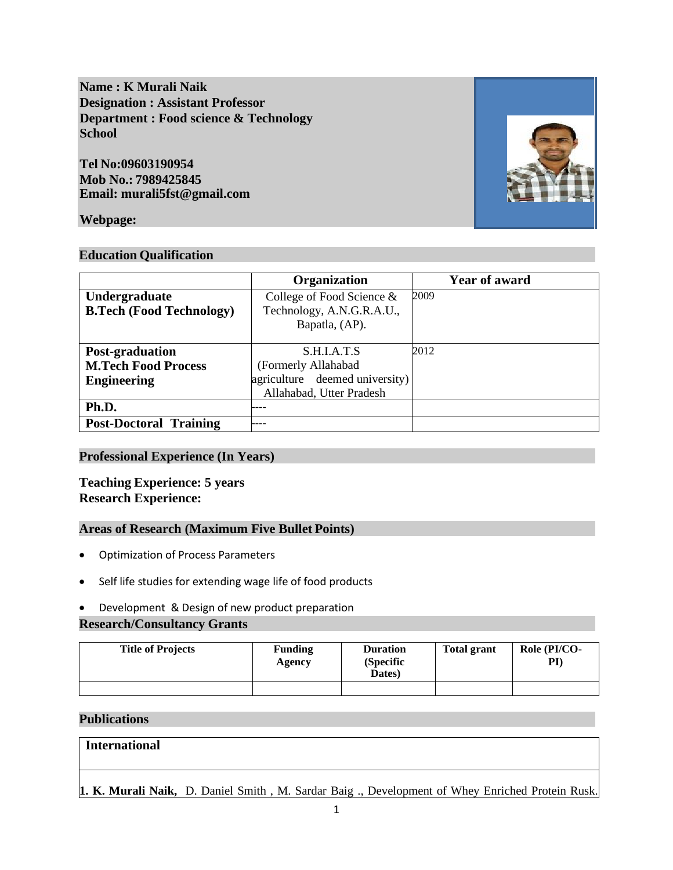**Name : K Murali Naik Designation : Assistant Professor Department : Food science & Technology School**

**Tel No:09603190954 Mob No.: 7989425845 Email: murali5fst@gmail.com**

## **Webpage:**

#### **Education Qualification**

|                                 | Organization                   | <b>Year of award</b> |
|---------------------------------|--------------------------------|----------------------|
| Undergraduate                   | College of Food Science &      | 2009                 |
| <b>B.Tech (Food Technology)</b> | Technology, A.N.G.R.A.U.,      |                      |
|                                 | Bapatla, (AP).                 |                      |
|                                 |                                |                      |
| Post-graduation                 | S.H.LA.T.S                     | 2012                 |
| <b>M.Tech Food Process</b>      | (Formerly Allahabad            |                      |
| <b>Engineering</b>              | agriculture deemed university) |                      |
|                                 | Allahabad, Utter Pradesh       |                      |
| Ph.D.                           |                                |                      |
| <b>Post-Doctoral Training</b>   |                                |                      |

## **Professional Experience (In Years)**

## **Teaching Experience: 5 years Research Experience:**

#### **Areas of Research (Maximum Five Bullet Points)**

- Optimization of Process Parameters
- Self life studies for extending wage life of food products
- Development & Design of new product preparation

#### **Research/Consultancy Grants**

| <b>Title of Projects</b> | <b>Funding</b><br>Agency | <b>Duration</b><br>(Specific<br>Dates) | <b>Total grant</b> | Role (PI/CO-<br>$\mathbf{PI}$ |
|--------------------------|--------------------------|----------------------------------------|--------------------|-------------------------------|
|                          |                          |                                        |                    |                               |

#### **Publications**

**International**

# **1. K. Murali Naik,** D. Daniel Smith , M. Sardar Baig ., Development of Whey Enriched Protein Rusk.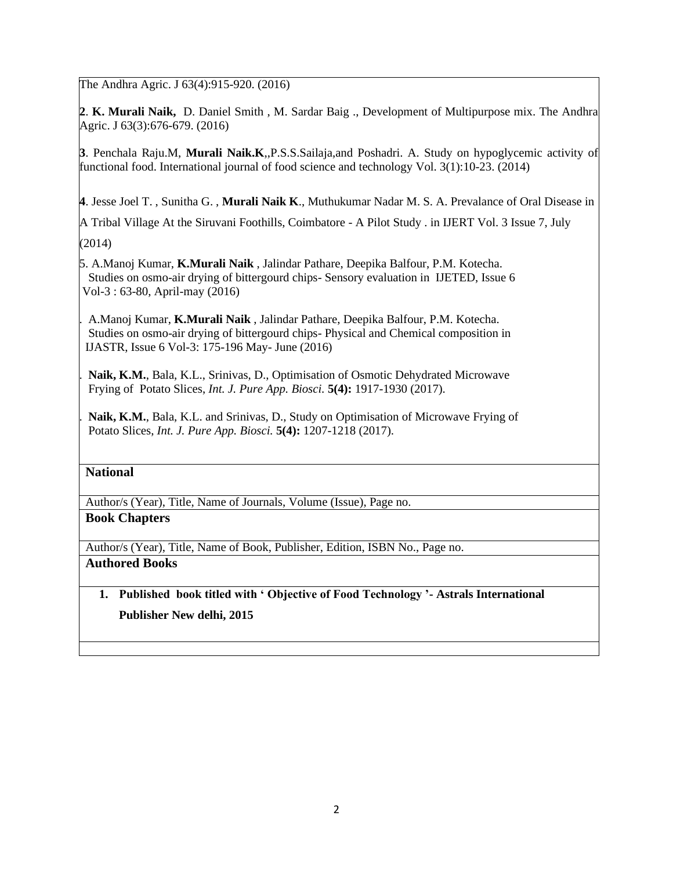The Andhra Agric. J 63(4):915-920. (2016)

**2**. **K. Murali Naik,** D. Daniel Smith , M. Sardar Baig ., Development of Multipurpose mix. The Andhra Agric. J 63(3):676-679. (2016)

**3**. Penchala Raju.M, **Murali Naik.K**,,P.S.S.Sailaja,and Poshadri. A. Study on hypoglycemic activity of functional food. International journal of food science and technology Vol. 3(1):10-23. (2014)

**4**. Jesse Joel T. , Sunitha G. , **Murali Naik K**., Muthukumar Nadar M. S. A. Prevalance of Oral Disease in

A Tribal Village At the Siruvani Foothills, Coimbatore - A Pilot Study . in IJERT Vol. 3 Issue 7, July (2014)

 5. A.Manoj Kumar, **K.Murali Naik** , Jalindar Pathare, Deepika Balfour, P.M. Kotecha. Studies on osmo-air drying of bittergourd chips- Sensory evaluation in IJETED, Issue 6 Vol-3 : 63-80, April-may (2016)

 6. A.Manoj Kumar, **K.Murali Naik** , Jalindar Pathare, Deepika Balfour, P.M. Kotecha. Studies on osmo-air drying of bittergourd chips- Physical and Chemical composition in IJASTR, Issue 6 Vol-3: 175-196 May- June (2016)

Naik, K.M., Bala, K.L., Srinivas, D., Optimisation of Osmotic Dehydrated Microwave Frying of Potato Slices, *Int. J. Pure App. Biosci.* **5(4):** 1917-1930 (2017).

Naik, K.M., Bala, K.L. and Srinivas, D., Study on Optimisation of Microwave Frying of Potato Slices, *Int. J. Pure App. Biosci.* **5(4):** 1207-1218 (2017).

## **National**

Author/s (Year), Title, Name of Journals, Volume (Issue), Page no.

## **Book Chapters**

Author/s (Year), Title, Name of Book, Publisher, Edition, ISBN No., Page no.

## **Authored Books**

# **1. Published book titled with ' Objective of Food Technology '- Astrals International Publisher New delhi, 2015**